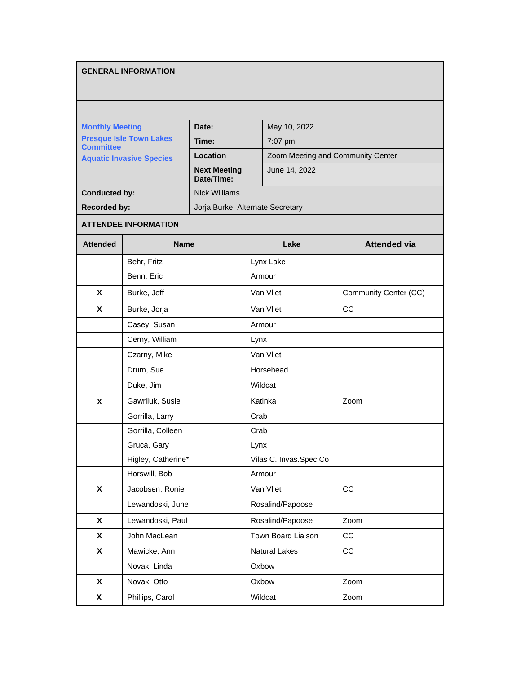## **GENERAL INFORMATION**

| <b>Monthly Meeting</b><br><b>Presque Isle Town Lakes</b><br><b>Committee</b><br><b>Aquatic Invasive Species</b> |                             | Date:                             |           | May 10, 2022                      |                       |  |
|-----------------------------------------------------------------------------------------------------------------|-----------------------------|-----------------------------------|-----------|-----------------------------------|-----------------------|--|
|                                                                                                                 |                             | Time:                             |           | 7:07 pm                           |                       |  |
|                                                                                                                 |                             | Location                          |           | Zoom Meeting and Community Center |                       |  |
|                                                                                                                 |                             | <b>Next Meeting</b><br>Date/Time: |           | June 14, 2022                     |                       |  |
| <b>Conducted by:</b>                                                                                            |                             | <b>Nick Williams</b>              |           |                                   |                       |  |
| <b>Recorded by:</b>                                                                                             |                             | Jorja Burke, Alternate Secretary  |           |                                   |                       |  |
|                                                                                                                 | <b>ATTENDEE INFORMATION</b> |                                   |           |                                   |                       |  |
| <b>Attended</b>                                                                                                 | <b>Name</b>                 |                                   |           | Lake                              | <b>Attended via</b>   |  |
|                                                                                                                 | Behr, Fritz                 |                                   |           | Lynx Lake                         |                       |  |
|                                                                                                                 | Benn, Eric                  |                                   | Armour    |                                   |                       |  |
| X                                                                                                               | Burke, Jeff                 |                                   | Van Vliet |                                   | Community Center (CC) |  |
| X                                                                                                               | Burke, Jorja                |                                   | Van Vliet |                                   | CС                    |  |
|                                                                                                                 | Casey, Susan                |                                   |           | Armour                            |                       |  |
|                                                                                                                 | Cerny, William              |                                   | Lynx      |                                   |                       |  |
|                                                                                                                 | Czarny, Mike                |                                   |           | Van Vliet                         |                       |  |
|                                                                                                                 | Drum, Sue                   |                                   |           | Horsehead                         |                       |  |
|                                                                                                                 | Duke, Jim                   |                                   |           | Wildcat                           |                       |  |
| x                                                                                                               | Gawriluk, Susie             |                                   |           | Katinka                           | Zoom                  |  |
|                                                                                                                 | Gorrilla, Larry             |                                   | Crab      |                                   |                       |  |
|                                                                                                                 | Gorrilla, Colleen           |                                   | Crab      |                                   |                       |  |
|                                                                                                                 | Gruca, Gary                 |                                   | Lynx      |                                   |                       |  |
|                                                                                                                 | Higley, Catherine*          |                                   |           | Vilas C. Invas.Spec.Co            |                       |  |
|                                                                                                                 | Horswill, Bob               |                                   |           | Armour                            |                       |  |
| $\pmb{\mathsf{X}}$                                                                                              | Jacobsen, Ronie             |                                   |           | Van Vliet                         | CC                    |  |
|                                                                                                                 | Lewandoski, June            |                                   |           | Rosalind/Papoose                  |                       |  |
| $\pmb{\mathsf{X}}$                                                                                              | Lewandoski, Paul            |                                   |           | Rosalind/Papoose                  | Zoom                  |  |
| X                                                                                                               | John MacLean                |                                   |           | Town Board Liaison                | CC                    |  |
| $\pmb{\mathsf{X}}$                                                                                              | Mawicke, Ann                |                                   |           | Natural Lakes                     | CC                    |  |
|                                                                                                                 | Novak, Linda                |                                   |           | Oxbow                             |                       |  |
| X                                                                                                               | Novak, Otto                 |                                   |           | Oxbow                             | Zoom                  |  |

**X** Phillips, Carol **Wildcat Zoom**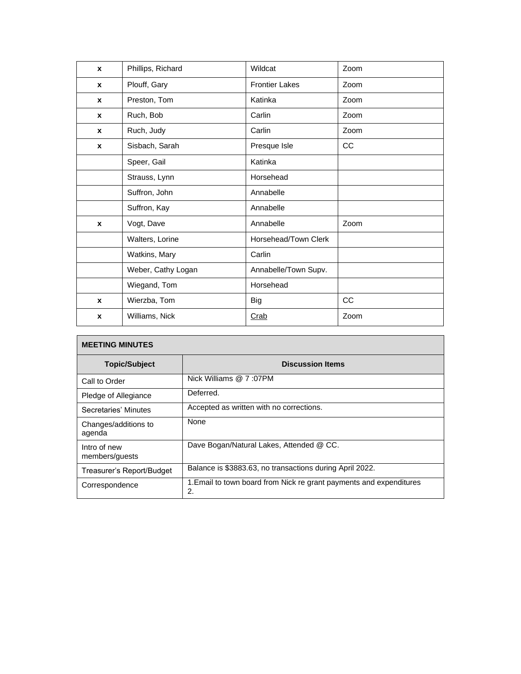| $\mathbf{x}$     | Phillips, Richard  | Wildcat               | Zoom |
|------------------|--------------------|-----------------------|------|
| $\boldsymbol{x}$ | Plouff, Gary       | <b>Frontier Lakes</b> | Zoom |
| $\mathbf x$      | Preston, Tom       | Katinka               | Zoom |
| $\mathbf{x}$     | Ruch, Bob          | Carlin                | Zoom |
| $\mathbf x$      | Ruch, Judy         | Carlin                | Zoom |
| $\mathbf{x}$     | Sisbach, Sarah     | Presque Isle          | cc   |
|                  | Speer, Gail        | Katinka               |      |
|                  | Strauss, Lynn      | Horsehead             |      |
|                  | Suffron, John      | Annabelle             |      |
|                  | Suffron, Kay       | Annabelle             |      |
| $\mathbf{x}$     | Vogt, Dave         | Annabelle             | Zoom |
|                  | Walters, Lorine    | Horsehead/Town Clerk  |      |
|                  | Watkins, Mary      | Carlin                |      |
|                  | Weber, Cathy Logan | Annabelle/Town Supv.  |      |
|                  | Wiegand, Tom       | Horsehead             |      |
| $\boldsymbol{x}$ | Wierzba, Tom       | <b>Big</b>            | cc   |
| $\boldsymbol{x}$ | Williams, Nick     | Crab                  | Zoom |

| <b>MEETING MINUTES</b>         |                                                                           |
|--------------------------------|---------------------------------------------------------------------------|
| <b>Topic/Subject</b>           | <b>Discussion Items</b>                                                   |
| Call to Order                  | Nick Williams @ 7:07PM                                                    |
| Pledge of Allegiance           | Deferred.                                                                 |
| Secretaries' Minutes           | Accepted as written with no corrections.                                  |
| Changes/additions to<br>agenda | None                                                                      |
| Intro of new<br>members/guests | Dave Bogan/Natural Lakes, Attended @ CC.                                  |
| Treasurer's Report/Budget      | Balance is \$3883.63, no transactions during April 2022.                  |
| Correspondence                 | 1. Email to town board from Nick re grant payments and expenditures<br>2. |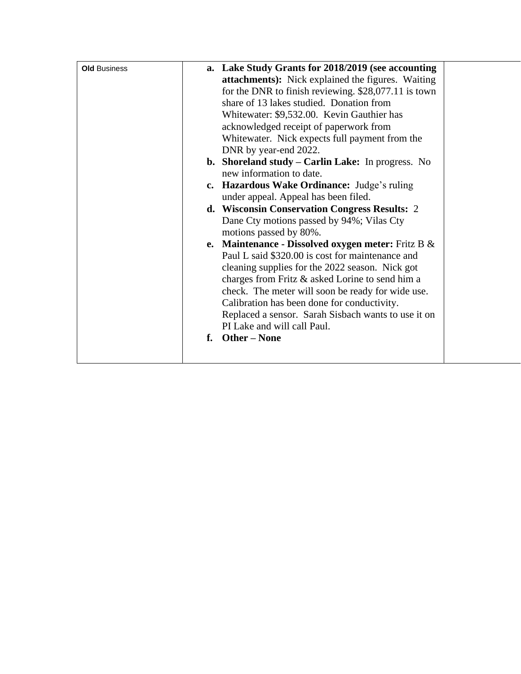| <b>Old Business</b> |    | a. Lake Study Grants for 2018/2019 (see accounting    |
|---------------------|----|-------------------------------------------------------|
|                     |    | attachments): Nick explained the figures. Waiting     |
|                     |    | for the DNR to finish reviewing. $$28,077.11$ is town |
|                     |    | share of 13 lakes studied. Donation from              |
|                     |    | Whitewater: \$9,532.00. Kevin Gauthier has            |
|                     |    | acknowledged receipt of paperwork from                |
|                     |    | Whitewater. Nick expects full payment from the        |
|                     |    | DNR by year-end 2022.                                 |
|                     |    | b. Shoreland study - Carlin Lake: In progress. No     |
|                     |    | new information to date.                              |
|                     |    | c. Hazardous Wake Ordinance: Judge's ruling           |
|                     |    | under appeal. Appeal has been filed.                  |
|                     |    | d. Wisconsin Conservation Congress Results: 2         |
|                     |    | Dane Cty motions passed by 94%; Vilas Cty             |
|                     |    | motions passed by 80%.                                |
|                     |    | e. Maintenance - Dissolved oxygen meter: Fritz B $\&$ |
|                     |    | Paul L said \$320.00 is cost for maintenance and      |
|                     |    | cleaning supplies for the 2022 season. Nick got       |
|                     |    | charges from Fritz & asked Lorine to send him a       |
|                     |    | check. The meter will soon be ready for wide use.     |
|                     |    | Calibration has been done for conductivity.           |
|                     |    | Replaced a sensor. Sarah Sisbach wants to use it on   |
|                     |    | PI Lake and will call Paul.                           |
|                     | f. | <b>Other – None</b>                                   |
|                     |    |                                                       |
|                     |    |                                                       |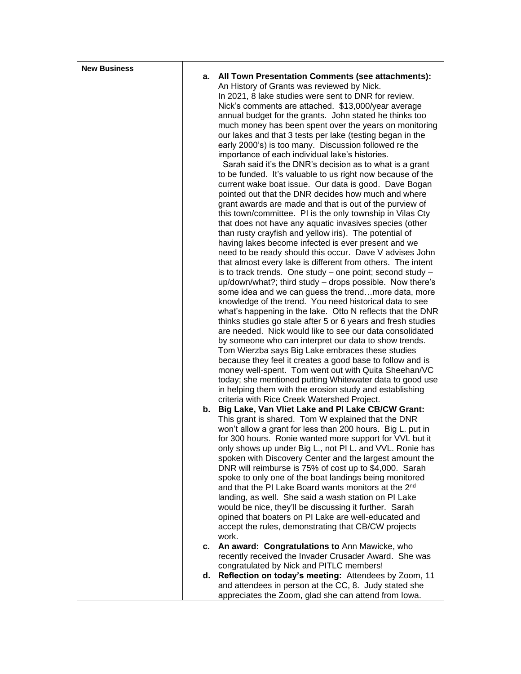| <b>New Business</b> |    |                                                                                                                    |
|---------------------|----|--------------------------------------------------------------------------------------------------------------------|
|                     | а. | <b>All Town Presentation Comments (see attachments):</b>                                                           |
|                     |    | An History of Grants was reviewed by Nick.                                                                         |
|                     |    | In 2021, 8 lake studies were sent to DNR for review.                                                               |
|                     |    | Nick's comments are attached. \$13,000/year average                                                                |
|                     |    | annual budget for the grants. John stated he thinks too                                                            |
|                     |    | much money has been spent over the years on monitoring                                                             |
|                     |    | our lakes and that 3 tests per lake (testing began in the<br>early 2000's) is too many. Discussion followed re the |
|                     |    | importance of each individual lake's histories.                                                                    |
|                     |    | Sarah said it's the DNR's decision as to what is a grant                                                           |
|                     |    | to be funded. It's valuable to us right now because of the                                                         |
|                     |    | current wake boat issue. Our data is good. Dave Bogan                                                              |
|                     |    | pointed out that the DNR decides how much and where                                                                |
|                     |    | grant awards are made and that is out of the purview of                                                            |
|                     |    | this town/committee. PI is the only township in Vilas Cty                                                          |
|                     |    | that does not have any aquatic invasives species (other                                                            |
|                     |    | than rusty crayfish and yellow iris). The potential of                                                             |
|                     |    | having lakes become infected is ever present and we                                                                |
|                     |    | need to be ready should this occur. Dave V advises John                                                            |
|                     |    | that almost every lake is different from others. The intent                                                        |
|                     |    | is to track trends. One study - one point; second study -                                                          |
|                     |    | up/down/what?; third study - drops possible. Now there's<br>some idea and we can guess the trendmore data, more    |
|                     |    | knowledge of the trend. You need historical data to see                                                            |
|                     |    | what's happening in the lake. Otto N reflects that the DNR                                                         |
|                     |    | thinks studies go stale after 5 or 6 years and fresh studies                                                       |
|                     |    | are needed. Nick would like to see our data consolidated                                                           |
|                     |    | by someone who can interpret our data to show trends.                                                              |
|                     |    | Tom Wierzba says Big Lake embraces these studies                                                                   |
|                     |    | because they feel it creates a good base to follow and is                                                          |
|                     |    | money well-spent. Tom went out with Quita Sheehan/VC                                                               |
|                     |    | today; she mentioned putting Whitewater data to good use                                                           |
|                     |    | in helping them with the erosion study and establishing                                                            |
|                     |    | criteria with Rice Creek Watershed Project.                                                                        |
|                     |    | b. Big Lake, Van Vliet Lake and PI Lake CB/CW Grant:<br>This grant is shared. Tom W explained that the DNR         |
|                     |    | won't allow a grant for less than 200 hours. Big L. put in                                                         |
|                     |    | for 300 hours. Ronie wanted more support for VVL but it                                                            |
|                     |    | only shows up under Big L., not PI L. and VVL. Ronie has                                                           |
|                     |    | spoken with Discovery Center and the largest amount the                                                            |
|                     |    | DNR will reimburse is 75% of cost up to \$4,000. Sarah                                                             |
|                     |    | spoke to only one of the boat landings being monitored                                                             |
|                     |    | and that the PI Lake Board wants monitors at the 2 <sup>nd</sup>                                                   |
|                     |    | landing, as well. She said a wash station on PI Lake                                                               |
|                     |    | would be nice, they'll be discussing it further. Sarah                                                             |
|                     |    | opined that boaters on PI Lake are well-educated and                                                               |
|                     |    | accept the rules, demonstrating that CB/CW projects                                                                |
|                     |    | work.                                                                                                              |
|                     | c. | An award: Congratulations to Ann Mawicke, who<br>recently received the Invader Crusader Award. She was             |
|                     |    | congratulated by Nick and PITLC members!                                                                           |
|                     | d. | Reflection on today's meeting: Attendees by Zoom, 11                                                               |
|                     |    | and attendees in person at the CC, 8. Judy stated she                                                              |
|                     |    | appreciates the Zoom, glad she can attend from lowa.                                                               |